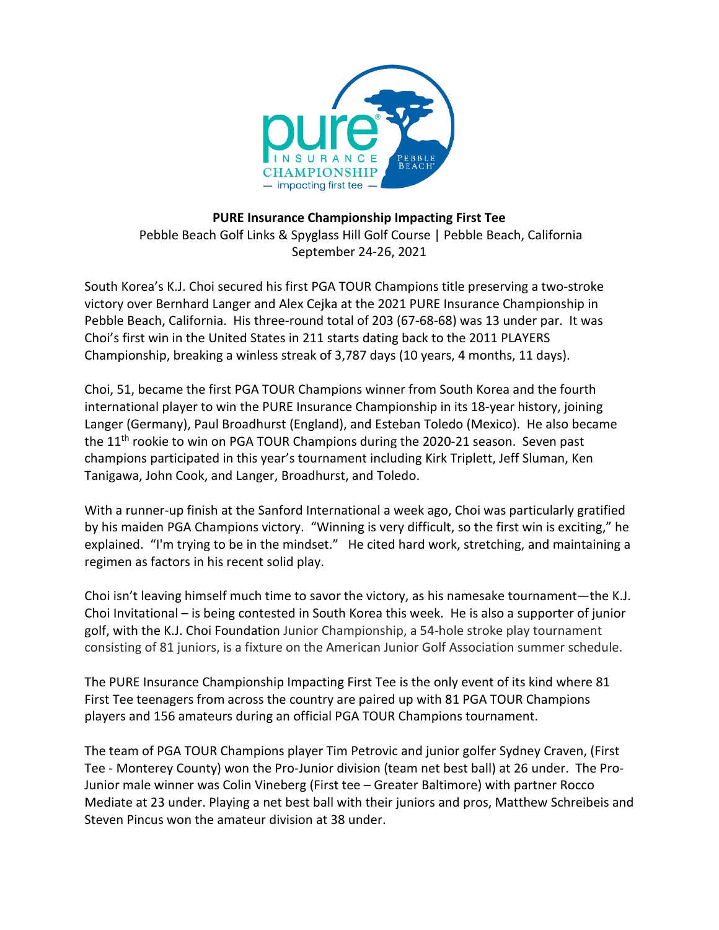

## **PURE Insurance Championship Impacting First Tee** Pebble Beach Golf Links & Spyglass Hill Golf Course | Pebble Beach, California September 24-26, 2021

South Korea's K.J. Choi secured his first PGA TOUR Champions title preserving a two-stroke victory over Bernhard Langer and Alex Cejka at the 2021 PURE Insurance Championship in Pebble Beach, California. His three-round total of 203 (67-68-68) was 13 under par. It was Choi's first win in the United States in 211 starts dating back to the 2011 PLAYERS Championship, breaking a winless streak of 3,787 days (10 years, 4 months, 11 days).

Choi, 51, became the first PGA TOUR Champions winner from South Korea and the fourth international player to win the PURE Insurance Championship in its 18-year history, joining Langer (Germany), Paul Broadhurst (England), and Esteban Toledo (Mexico). He also became the 11<sup>th</sup> rookie to win on PGA TOUR Champions during the 2020-21 season. Seven past champions participated in this year's tournament including Kirk Triplett, Jeff Sluman, Ken Tanigawa, John Cook, and Langer, Broadhurst, and Toledo.

With a runner-up finish at the Sanford International a week ago, Choi was particularly gratified by his maiden PGA Champions victory. "Winning is very difficult, so the first win is exciting," he explained. "I'm trying to be in the mindset." He cited hard work, stretching, and maintaining a regimen as factors in his recent solid play.

Choi isn't leaving himself much time to savor the victory, as his namesake tournament—the K.J. Choi Invitational – is being contested in South Korea this week. He is also a supporter of junior golf, with the K.J. Choi Foundation Junior Championship, a 54-hole stroke play tournament consisting of 81 juniors, is a fixture on the American Junior Golf Association summer schedule.

The PURE Insurance Championship Impacting First Tee is the only event of its kind where 81 First Tee teenagers from across the country are paired up with 81 PGA TOUR Champions players and 156 amateurs during an official PGA TOUR Champions tournament.

The team of PGA TOUR Champions player Tim Petrovic and junior golfer Sydney Craven, (First Tee - Monterey County) won the Pro-Junior division (team net best ball) at 26 under. The Pro-Junior male winner was Colin Vineberg (First tee – Greater Baltimore) with partner Rocco Mediate at 23 under. Playing a net best ball with their juniors and pros, Matthew Schreibeis and Steven Pincus won the amateur division at 38 under.